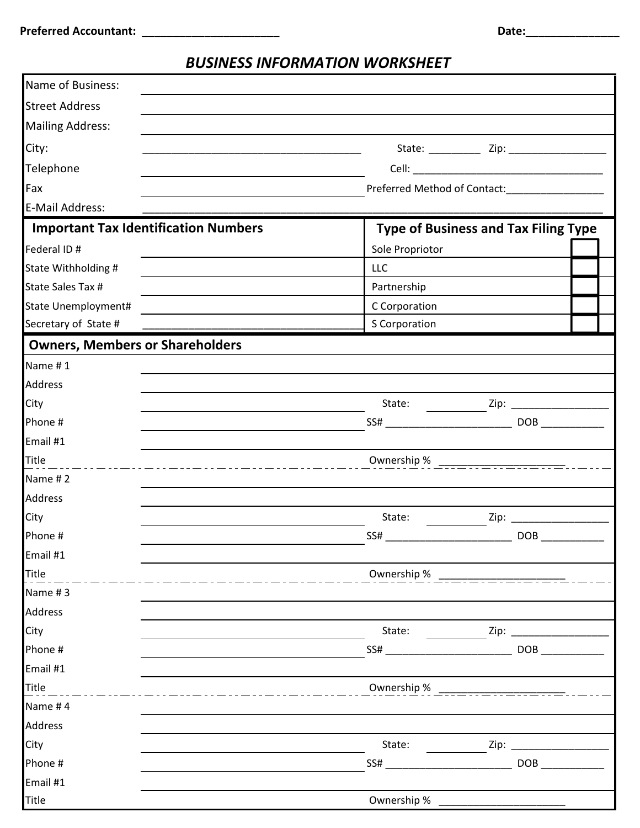## *BUSINESS INFORMATION WORKSHEET*

| Name of Business:                           |                 |                                             |  |
|---------------------------------------------|-----------------|---------------------------------------------|--|
| <b>Street Address</b>                       |                 |                                             |  |
| <b>Mailing Address:</b>                     |                 |                                             |  |
| City:                                       |                 |                                             |  |
| Telephone                                   |                 |                                             |  |
| Fax                                         |                 |                                             |  |
| E-Mail Address:                             |                 |                                             |  |
| <b>Important Tax Identification Numbers</b> |                 | <b>Type of Business and Tax Filing Type</b> |  |
| Federal ID #                                | Sole Propriotor |                                             |  |
| State Withholding #                         | <b>LLC</b>      |                                             |  |
| State Sales Tax #                           | Partnership     |                                             |  |
| State Unemployment#                         | C Corporation   |                                             |  |
| Secretary of State #                        | S Corporation   |                                             |  |
| <b>Owners, Members or Shareholders</b>      |                 |                                             |  |
| Name #1                                     |                 |                                             |  |
| <b>Address</b>                              |                 |                                             |  |
| City                                        |                 |                                             |  |
| Phone #                                     |                 |                                             |  |
| Email #1                                    |                 |                                             |  |
| Title<br>___                                |                 |                                             |  |
| Name #2                                     |                 |                                             |  |
| <b>Address</b>                              |                 |                                             |  |
| City                                        | State:          |                                             |  |
| Phone #                                     | SS#             |                                             |  |
| Email #1                                    |                 |                                             |  |
| Title                                       | Ownership %     |                                             |  |
| Name #3<br>Address                          |                 |                                             |  |
| City                                        | State:          | Zip:                                        |  |
| Phone #                                     | SS#             | DOB                                         |  |
| Email #1                                    |                 |                                             |  |
| Title                                       | Ownership %     |                                             |  |
| Name #4                                     |                 |                                             |  |
| Address                                     |                 |                                             |  |
| City                                        | State:          | Zip:                                        |  |
| Phone #                                     | SS#             | DOB <sub>2</sub>                            |  |
| Email #1                                    |                 |                                             |  |
| Title                                       | Ownership %     |                                             |  |